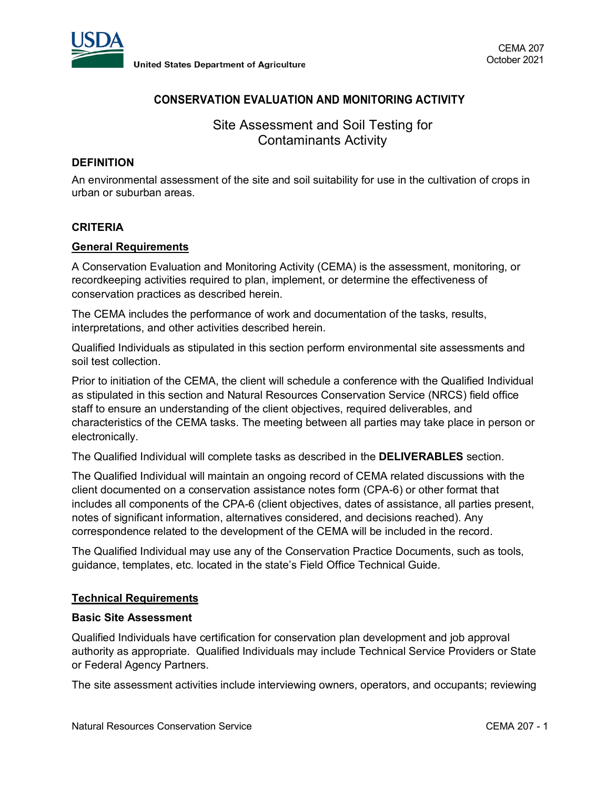

# **CONSERVATION EVALUATION AND MONITORING ACTIVITY**

Site Assessment and Soil Testing for Contaminants Activity

## **DEFINITION**

An environmental assessment of the site and soil suitability for use in the cultivation of crops in urban or suburban areas.

### **CRITERIA**

### **General Requirements**

A Conservation Evaluation and Monitoring Activity (CEMA) is the assessment, monitoring, or recordkeeping activities required to plan, implement, or determine the effectiveness of conservation practices as described herein.

The CEMA includes the performance of work and documentation of the tasks, results, interpretations, and other activities described herein.

Qualified Individuals as stipulated in this section perform environmental site assessments and soil test collection.

Prior to initiation of the CEMA, the client will schedule a conference with the Qualified Individual as stipulated in this section and Natural Resources Conservation Service (NRCS) field office staff to ensure an understanding of the client objectives, required deliverables, and characteristics of the CEMA tasks. The meeting between all parties may take place in person or electronically.

The Qualified Individual will complete tasks as described in the **DELIVERABLES** section.

The Qualified Individual will maintain an ongoing record of CEMA related discussions with the client documented on a conservation assistance notes form (CPA-6) or other format that includes all components of the CPA-6 (client objectives, dates of assistance, all parties present, notes of significant information, alternatives considered, and decisions reached). Any correspondence related to the development of the CEMA will be included in the record.

The Qualified Individual may use any of the Conservation Practice Documents, such as tools, guidance, templates, etc. located in the state's Field Office Technical Guide.

## **Technical Requirements**

#### **Basic Site Assessment**

Qualified Individuals have certification for conservation plan development and job approval authority as appropriate. Qualified Individuals may include Technical Service Providers or State or Federal Agency Partners.

The site assessment activities include interviewing owners, operators, and occupants; reviewing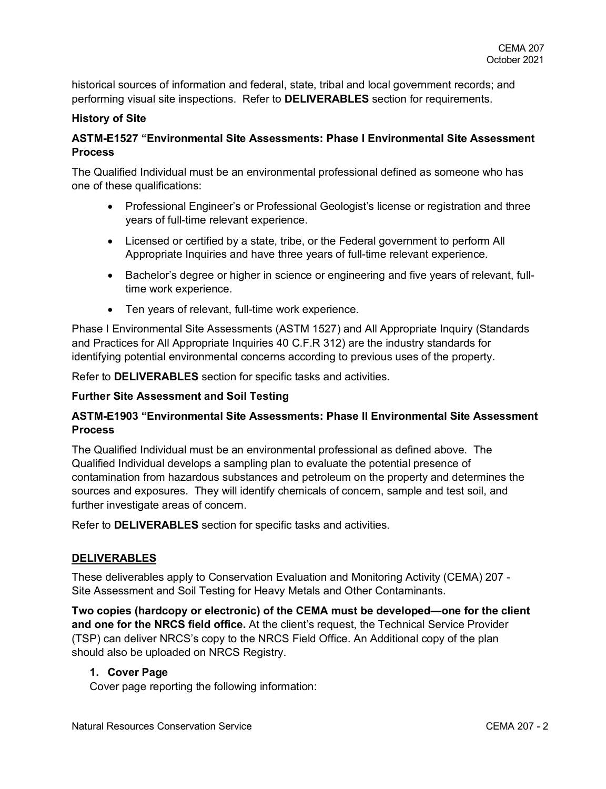historical sources of information and federal, state, tribal and local government records; and performing visual site inspections. Refer to **DELIVERABLES** section for requirements.

## **History of Site**

# **ASTM-E1527 "Environmental Site Assessments: Phase I Environmental Site Assessment Process**

The Qualified Individual must be an environmental professional defined as someone who has one of these qualifications:

- Professional Engineer's or Professional Geologist's license or registration and three years of full-time relevant experience.
- Licensed or certified by a state, tribe, or the Federal government to perform All Appropriate Inquiries and have three years of full-time relevant experience.
- Bachelor's degree or higher in science or engineering and five years of relevant, fulltime work experience.
- Ten years of relevant, full-time work experience.

Phase I Environmental Site Assessments (ASTM 1527) and All Appropriate Inquiry (Standards and Practices for All Appropriate Inquiries 40 C.F.R 312) are the industry standards for identifying potential environmental concerns according to previous uses of the property.

Refer to **DELIVERABLES** section for specific tasks and activities.

## **Further Site Assessment and Soil Testing**

# **ASTM-E1903 "Environmental Site Assessments: Phase II Environmental Site Assessment Process**

The Qualified Individual must be an environmental professional as defined above. The Qualified Individual develops a sampling plan to evaluate the potential presence of contamination from hazardous substances and petroleum on the property and determines the sources and exposures. They will identify chemicals of concern, sample and test soil, and further investigate areas of concern.

Refer to **DELIVERABLES** section for specific tasks and activities.

# **DELIVERABLES**

These deliverables apply to Conservation Evaluation and Monitoring Activity (CEMA) 207 - Site Assessment and Soil Testing for Heavy Metals and Other Contaminants.

**Two copies (hardcopy or electronic) of the CEMA must be developed—one for the client and one for the NRCS field office.** At the client's request, the Technical Service Provider (TSP) can deliver NRCS's copy to the NRCS Field Office. An Additional copy of the plan should also be uploaded on NRCS Registry.

# **1. Cover Page**

Cover page reporting the following information: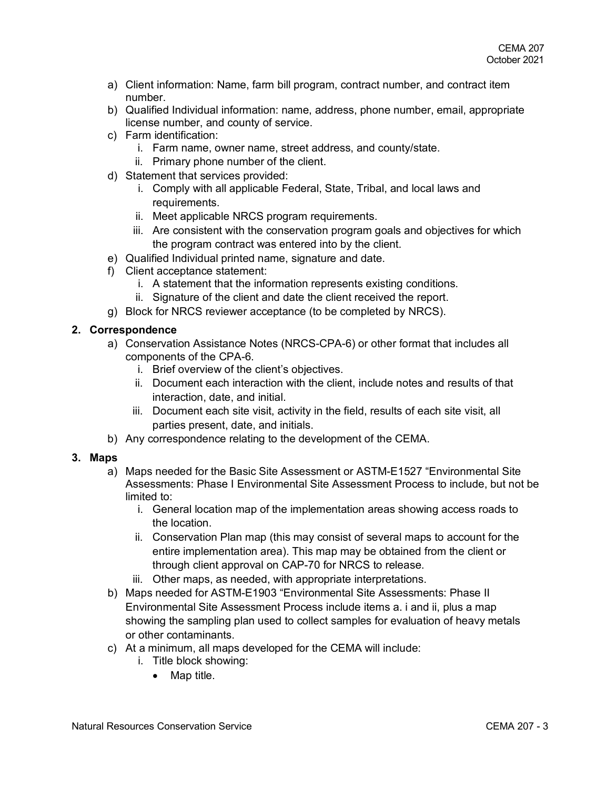- a) Client information: Name, farm bill program, contract number, and contract item number.
- b) Qualified Individual information: name, address, phone number, email, appropriate license number, and county of service.
- c) Farm identification:
	- i. Farm name, owner name, street address, and county/state.
	- ii. Primary phone number of the client.
- d) Statement that services provided:
	- i. Comply with all applicable Federal, State, Tribal, and local laws and requirements.
	- ii. Meet applicable NRCS program requirements.
	- iii. Are consistent with the conservation program goals and objectives for which the program contract was entered into by the client.
- e) Qualified Individual printed name, signature and date.
- f) Client acceptance statement:
	- i. A statement that the information represents existing conditions.
	- ii. Signature of the client and date the client received the report.
- g) Block for NRCS reviewer acceptance (to be completed by NRCS).

## **2. Correspondence**

- a) Conservation Assistance Notes (NRCS-CPA-6) or other format that includes all components of the CPA-6.
	- i. Brief overview of the client's objectives.
	- ii. Document each interaction with the client, include notes and results of that interaction, date, and initial.
	- iii. Document each site visit, activity in the field, results of each site visit, all parties present, date, and initials.
- b) Any correspondence relating to the development of the CEMA.

## **3. Maps**

- a) Maps needed for the Basic Site Assessment or ASTM-E1527 "Environmental Site Assessments: Phase I Environmental Site Assessment Process to include, but not be limited to:
	- i. General location map of the implementation areas showing access roads to the location.
	- ii. Conservation Plan map (this may consist of several maps to account for the entire implementation area). This map may be obtained from the client or through client approval on CAP-70 for NRCS to release.
	- iii. Other maps, as needed, with appropriate interpretations.
- b) Maps needed for ASTM-E1903 "Environmental Site Assessments: Phase II Environmental Site Assessment Process include items a. i and ii, plus a map showing the sampling plan used to collect samples for evaluation of heavy metals or other contaminants.
- c) At a minimum, all maps developed for the CEMA will include:
	- i. Title block showing:
		- Map title.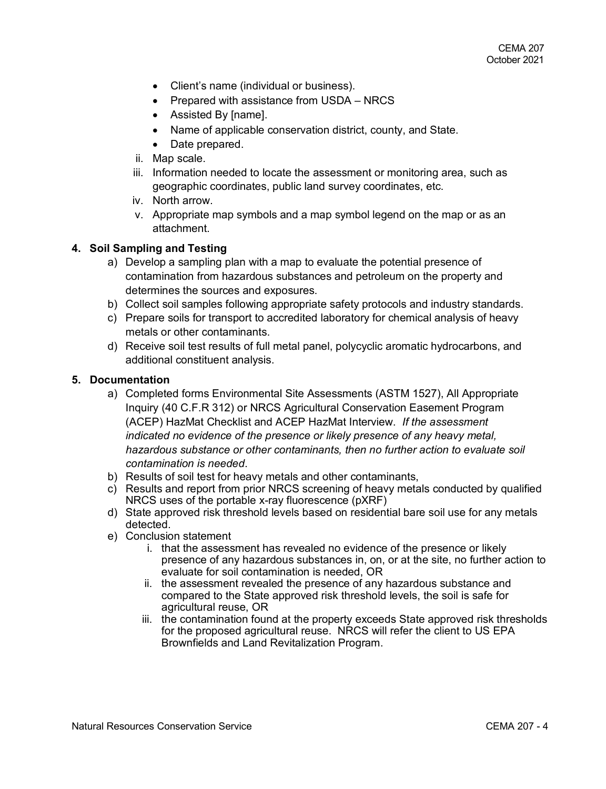- Client's name (individual or business).
- Prepared with assistance from USDA NRCS
- Assisted By [name].
- Name of applicable conservation district, county, and State.
- Date prepared.
- ii. Map scale.
- iii. Information needed to locate the assessment or monitoring area, such as geographic coordinates, public land survey coordinates, etc.
- iv. North arrow.
- v. Appropriate map symbols and a map symbol legend on the map or as an attachment.

### **4. Soil Sampling and Testing**

- a) Develop a sampling plan with a map to evaluate the potential presence of contamination from hazardous substances and petroleum on the property and determines the sources and exposures.
- b) Collect soil samples following appropriate safety protocols and industry standards.
- c) Prepare soils for transport to accredited laboratory for chemical analysis of heavy metals or other contaminants.
- d) Receive soil test results of full metal panel, polycyclic aromatic hydrocarbons, and additional constituent analysis.

### **5. Documentation**

- a) Completed forms Environmental Site Assessments (ASTM 1527), All Appropriate Inquiry (40 C.F.R 312) or NRCS Agricultural Conservation Easement Program (ACEP) HazMat Checklist and ACEP HazMat Interview. *If the assessment indicated no evidence of the presence or likely presence of any heavy metal, hazardous substance or other contaminants, then no further action to evaluate soil contamination is needed*.
- b) Results of soil test for heavy metals and other contaminants,
- c) Results and report from prior NRCS screening of heavy metals conducted by qualified NRCS uses of the portable x-ray fluorescence (pXRF)
- d) State approved risk threshold levels based on residential bare soil use for any metals detected.
- e) Conclusion statement
	- i. that the assessment has revealed no evidence of the presence or likely presence of any hazardous substances in, on, or at the site, no further action to evaluate for soil contamination is needed, OR
	- ii. the assessment revealed the presence of any hazardous substance and compared to the State approved risk threshold levels, the soil is safe for agricultural reuse, OR
	- iii. the contamination found at the property exceeds State approved risk thresholds for the proposed agricultural reuse. NRCS will refer the client to US EPA Brownfields and Land Revitalization Program.